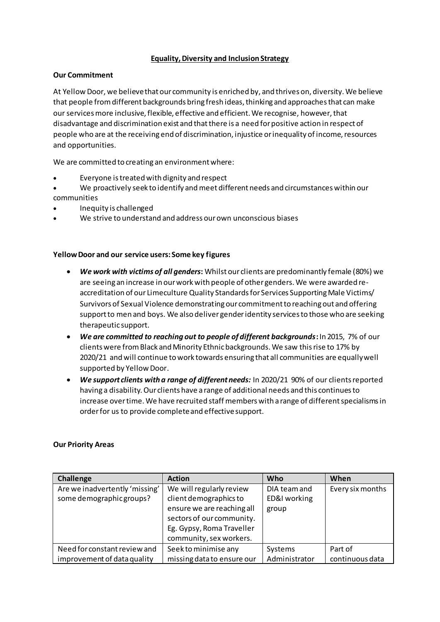# **Equality, Diversity and Inclusion Strategy**

## **Our Commitment**

At Yellow Door, we believe that our community is enriched by, and thrives on, diversity. We believe that people from different backgrounds bring fresh ideas, thinking and approaches that can make our services more inclusive, flexible, effective and efficient. We recognise, however, that disadvantage and discrimination exist and that there is a need for positive action in respect of people who are at the receiving end of discrimination, injustice or inequality of income, resources and opportunities.

We are committed to creating an environment where:

- Everyone is treated with dignity and respect
- We proactively seek to identify and meet different needs and circumstances within our communities
- Inequity is challenged
- We strive to understand and address our own unconscious biases

#### **Yellow Door and our service users: Some key figures**

- *We work with victims of all genders***:** Whilst our clients are predominantly female (80%) we are seeing an increase in our work with people of other genders. We were awarded reaccreditation of our Limeculture Quality Standards for Services Supporting Male Victims/ Survivors of Sexual Violence demonstratingour commitment to reaching out and offering support to men and boys. We also deliver gender identity services to those who are seeking therapeutic support.
- *We are committed to reaching out to people of different backgrounds***:**In 2015, 7% of our clients were from Black and Minority Ethnic backgrounds. We saw this rise to 17% by 2020/21 and will continue to work towards ensuring that all communities are equally well supported by Yellow Door.
- *We support clients with a range of different needs:* In 2020/21 90% of our clients reported having a disability. Our clients have a range of additional needs and this continues to increase over time. We have recruited staff members with a range of different specialisms in order for us to provide complete and effective support.

#### **Our Priority Areas**

| Challenge                      | <b>Action</b>              | Who           | When             |
|--------------------------------|----------------------------|---------------|------------------|
| Are we inadvertently 'missing' | We will regularly review   | DIA team and  | Every six months |
| some demographic groups?       | client demographics to     | ED&I working  |                  |
|                                | ensure we are reaching all | group         |                  |
|                                | sectors of our community.  |               |                  |
|                                | Eg. Gypsy, Roma Traveller  |               |                  |
|                                | community, sex workers.    |               |                  |
| Need for constant review and   | Seek to minimise any       | Systems       | Part of          |
| improvement of data quality    | missing data to ensure our | Administrator | continuous data  |